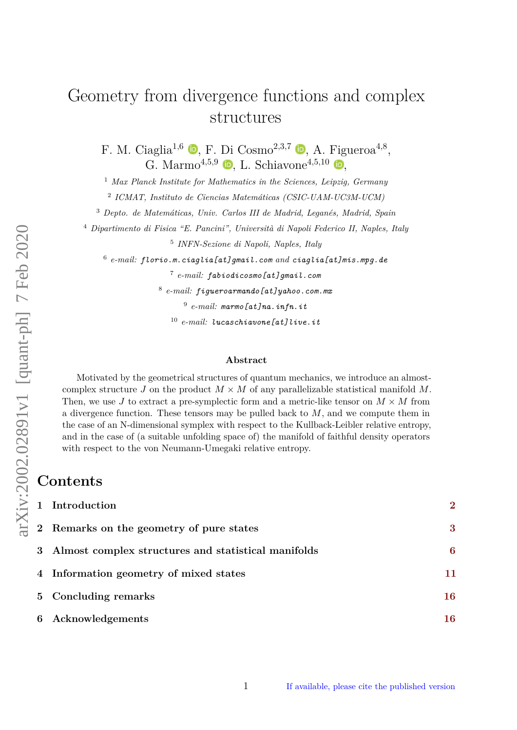# Geometry from divergence functions and complex structures

F. M. Ciaglia<sup>1[,](https://orcid.org/0000-0002-8987-1181)6</sup> **b**, F. Di Cosmo<sup>2,3,7</sup> **b**, A. Figueroa<sup>4,8</sup>, G. Marmo<sup>4[,](https://orcid.org/0000-0002-1817-5752)5,9</sup>  $\bullet$ , L. Schiavone<sup>4,5,10</sup>  $\bullet$ ,

<sup>1</sup> *Max Planck Institute for Mathematics in the Sciences, Leipzig, Germany*

2 *ICMAT, Instituto de Ciencias Matemáticas (CSIC-UAM-UC3M-UCM)*

<sup>3</sup> *Depto. de Matemáticas, Univ. Carlos III de Madrid, Leganés, Madrid, Spain*

<sup>4</sup> *Dipartimento di Fisica "E. Pancini", Università di Napoli Federico II, Naples, Italy*

5 *INFN-Sezione di Napoli, Naples, Italy*

6 *e-mail: florio.m.ciaglia[at]gmail.com and ciaglia[at]mis.mpg.de*

7 *e-mail: fabiodicosmo[at]gmail.com*

8 *e-mail: figueroarmando[at]yahoo.com.mx*

9 *e-mail: marmo[at]na.infn.it*

<sup>10</sup> *e-mail: lucaschiavone[at]live.it*

#### **Abstract**

Motivated by the geometrical structures of quantum mechanics, we introduce an almostcomplex structure *J* on the product  $M \times M$  of any parallelizable statistical manifold M. Then, we use *J* to extract a pre-symplectic form and a metric-like tensor on  $M \times M$  from a divergence function. These tensors may be pulled back to *M*, and we compute them in the case of an N-dimensional symplex with respect to the Kullback-Leibler relative entropy, and in the case of (a suitable unfolding space of) the manifold of faithful density operators with respect to the von Neumann-Umegaki relative entropy.

# **Contents**

| 1 Introduction                                        | $\overline{2}$ |
|-------------------------------------------------------|----------------|
| 2 Remarks on the geometry of pure states              | 3              |
| 3 Almost complex structures and statistical manifolds | 6              |
| 4 Information geometry of mixed states                | 11             |
| 5 Concluding remarks                                  | 16             |
| 6 Acknowledgements                                    | 16             |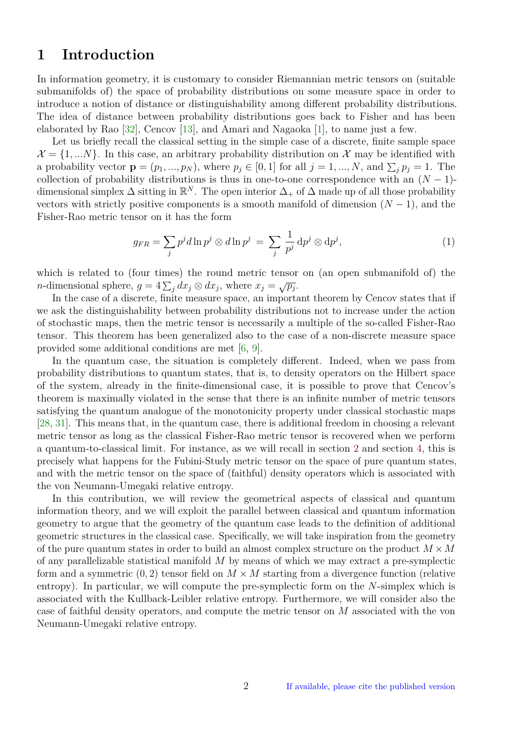# <span id="page-1-2"></span><span id="page-1-0"></span>**1 Introduction**

In information geometry, it is customary to consider Riemannian metric tensors on (suitable submanifolds of) the space of probability distributions on some measure space in order to introduce a notion of distance or distinguishability among different probability distributions. The idea of distance between probability distributions goes back to Fisher and has been elaborated by Rao [\[32\]](#page-17-0), Cencov [\[13\]](#page-16-0), and Amari and Nagaoka [\[1\]](#page-16-1), to name just a few.

Let us briefly recall the classical setting in the simple case of a discrete, finite sample space  $\mathcal{X} = \{1, \ldots N\}$ . In this case, an arbitrary probability distribution on X may be identified with a probability vector  $\mathbf{p} = (p_1, ..., p_N)$ , where  $p_j \in [0, 1]$  for all  $j = 1, ..., N$ , and  $\sum_j p_j = 1$ . The collection of probability distributions is thus in one-to-one correspondence with an  $(N-1)$ dimensional simplex  $\Delta$  sitting in  $\mathbb{R}^N$ . The open interior  $\Delta_+$  of  $\Delta$  made up of all those probability vectors with strictly positive components is a smooth manifold of dimension  $(N-1)$ , and the Fisher-Rao metric tensor on it has the form

<span id="page-1-1"></span>
$$
g_{FR} = \sum_{j} p^{j} d \ln p^{j} \otimes d \ln p^{j} = \sum_{j} \frac{1}{p^{j}} dp^{j} \otimes dp^{j}, \qquad (1)
$$

which is related to (four times) the round metric tensor on (an open submanifold of) the *n*-dimensional sphere,  $g = 4 \sum_{j} dx_{j} \otimes dx_{j}$ , where  $x_{j} = \sqrt{p_{j}}$ .

In the case of a discrete, finite measure space, an important theorem by Cencov states that if we ask the distinguishability between probability distributions not to increase under the action of stochastic maps, then the metric tensor is necessarily a multiple of the so-called Fisher-Rao tensor. This theorem has been generalized also to the case of a non-discrete measure space provided some additional conditions are met [\[6,](#page-16-2) [9\]](#page-16-3).

In the quantum case, the situation is completely different. Indeed, when we pass from probability distributions to quantum states, that is, to density operators on the Hilbert space of the system, already in the finite-dimensional case, it is possible to prove that Cencov's theorem is maximally violated in the sense that there is an infinite number of metric tensors satisfying the quantum analogue of the monotonicity property under classical stochastic maps [\[28,](#page-17-1) [31\]](#page-17-2). This means that, in the quantum case, there is additional freedom in choosing a relevant metric tensor as long as the classical Fisher-Rao metric tensor is recovered when we perform a quantum-to-classical limit. For instance, as we will recall in section [2](#page-2-0) and section [4,](#page-10-0) this is precisely what happens for the Fubini-Study metric tensor on the space of pure quantum states, and with the metric tensor on the space of (faithful) density operators which is associated with the von Neumann-Umegaki relative entropy.

In this contribution, we will review the geometrical aspects of classical and quantum information theory, and we will exploit the parallel between classical and quantum information geometry to argue that the geometry of the quantum case leads to the definition of additional geometric structures in the classical case. Specifically, we will take inspiration from the geometry of the pure quantum states in order to build an almost complex structure on the product  $M \times M$ of any parallelizable statistical manifold *M* by means of which we may extract a pre-symplectic form and a symmetric  $(0, 2)$  tensor field on  $M \times M$  starting from a divergence function (relative entropy). In particular, we will compute the pre-symplectic form on the *N*-simplex which is associated with the Kullback-Leibler relative entropy. Furthermore, we will consider also the case of faithful density operators, and compute the metric tensor on *M* associated with the von Neumann-Umegaki relative entropy.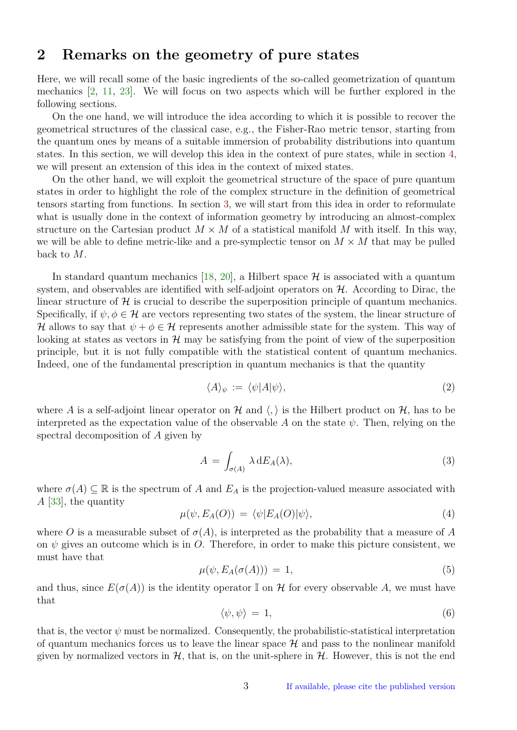# <span id="page-2-2"></span><span id="page-2-0"></span>**2 Remarks on the geometry of pure states**

Here, we will recall some of the basic ingredients of the so-called geometrization of quantum mechanics [\[2,](#page-16-4) [11,](#page-16-5) [23\]](#page-17-3). We will focus on two aspects which will be further explored in the following sections.

On the one hand, we will introduce the idea according to which it is possible to recover the geometrical structures of the classical case, e.g., the Fisher-Rao metric tensor, starting from the quantum ones by means of a suitable immersion of probability distributions into quantum states. In this section, we will develop this idea in the context of pure states, while in section [4,](#page-10-0) we will present an extension of this idea in the context of mixed states.

On the other hand, we will exploit the geometrical structure of the space of pure quantum states in order to highlight the role of the complex structure in the definition of geometrical tensors starting from functions. In section [3,](#page-5-0) we will start from this idea in order to reformulate what is usually done in the context of information geometry by introducing an almost-complex structure on the Cartesian product  $M \times M$  of a statistical manifold M with itself. In this way, we will be able to define metric-like and a pre-symplectic tensor on  $M \times M$  that may be pulled back to *M*.

In standard quantum mechanics [\[18,](#page-17-4) [20\]](#page-17-5), a Hilbert space  $\mathcal{H}$  is associated with a quantum system, and observables are identified with self-adjoint operators on  $H$ . According to Dirac, the linear structure of  $\mathcal{H}$  is crucial to describe the superposition principle of quantum mechanics. Specifically, if  $\psi, \phi \in \mathcal{H}$  are vectors representing two states of the system, the linear structure of H allows to say that  $\psi + \phi \in \mathcal{H}$  represents another admissible state for the system. This way of looking at states as vectors in  $\mathcal{H}$  may be satisfying from the point of view of the superposition principle, but it is not fully compatible with the statistical content of quantum mechanics. Indeed, one of the fundamental prescription in quantum mechanics is that the quantity

$$
\langle A \rangle_{\psi} := \langle \psi | A | \psi \rangle,\tag{2}
$$

where A is a self-adjoint linear operator on H and  $\langle , \rangle$  is the Hilbert product on H, has to be interpreted as the expectation value of the observable *A* on the state *ψ*. Then, relying on the spectral decomposition of *A* given by

$$
A = \int_{\sigma(A)} \lambda \, dE_A(\lambda), \tag{3}
$$

where  $\sigma(A) \subseteq \mathbb{R}$  is the spectrum of *A* and  $E_A$  is the projection-valued measure associated with *A* [\[33\]](#page-17-6), the quantity

<span id="page-2-1"></span>
$$
\mu(\psi, E_A(O)) = \langle \psi | E_A(O) | \psi \rangle,\tag{4}
$$

where *O* is a measurable subset of  $\sigma(A)$ , is interpreted as the probability that a measure of *A* on  $\psi$  gives an outcome which is in *O*. Therefore, in order to make this picture consistent, we must have that

$$
\mu(\psi, E_A(\sigma(A))) = 1,\tag{5}
$$

and thus, since  $E(\sigma(A))$  is the identity operator I on H for every observable A, we must have that

$$
\langle \psi, \psi \rangle = 1,\tag{6}
$$

that is, the vector  $\psi$  must be normalized. Consequently, the probabilistic-statistical interpretation of quantum mechanics forces us to leave the linear space  $H$  and pass to the nonlinear manifold given by normalized vectors in  $H$ , that is, on the unit-sphere in  $H$ . However, this is not the end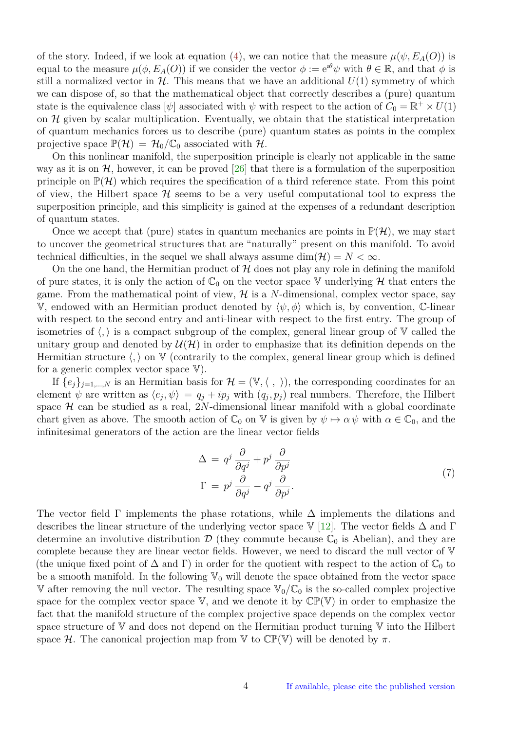<span id="page-3-0"></span>of the story. Indeed, if we look at equation [\(4\)](#page-2-1), we can notice that the measure  $\mu(\psi, E_A(O))$  is equal to the measure  $\mu(\phi, E_A(O))$  if we consider the vector  $\phi := e^{i\theta}\psi$  with  $\theta \in \mathbb{R}$ , and that  $\phi$  is still a normalized vector in  $H$ . This means that we have an additional  $U(1)$  symmetry of which we can dispose of, so that the mathematical object that correctly describes a (pure) quantum state is the equivalence class  $[\psi]$  associated with  $\psi$  with respect to the action of  $C_0 = \mathbb{R}^+ \times U(1)$ on  $\mathcal H$  given by scalar multiplication. Eventually, we obtain that the statistical interpretation of quantum mechanics forces us to describe (pure) quantum states as points in the complex projective space  $\mathbb{P}(\mathcal{H}) = \mathcal{H}_0/\mathbb{C}_0$  associated with  $\mathcal{H}$ .

On this nonlinear manifold, the superposition principle is clearly not applicable in the same way as it is on  $H$ , however, it can be proved [\[26\]](#page-17-7) that there is a formulation of the superposition principle on  $\mathbb{P}(\mathcal{H})$  which requires the specification of a third reference state. From this point of view, the Hilbert space  $\mathcal H$  seems to be a very useful computational tool to express the superposition principle, and this simplicity is gained at the expenses of a redundant description of quantum states.

Once we accept that (pure) states in quantum mechanics are points in  $\mathbb{P}(\mathcal{H})$ , we may start to uncover the geometrical structures that are "naturally" present on this manifold. To avoid technical difficulties, in the sequel we shall always assume  $\dim(\mathcal{H}) = N < \infty$ .

On the one hand, the Hermitian product of  $H$  does not play any role in defining the manifold of pure states, it is only the action of  $\mathbb{C}_0$  on the vector space V underlying H that enters the game. From the mathematical point of view,  $\mathcal{H}$  is a *N*-dimensional, complex vector space, say V, endowed with an Hermitian product denoted by  $\langle \psi, \phi \rangle$  which is, by convention, C-linear with respect to the second entry and anti-linear with respect to the first entry. The group of isometries of  $\langle, \rangle$  is a compact subgroup of the complex, general linear group of V called the unitary group and denoted by  $\mathcal{U}(\mathcal{H})$  in order to emphasize that its definition depends on the Hermitian structure  $\langle , \rangle$  on V (contrarily to the complex, general linear group which is defined for a generic complex vector space  $V$ ).

If  ${e_j}_{j=1,\dots,N}$  is an Hermitian basis for  $\mathcal{H} = (\mathbb{V}, \langle , \rangle)$ , the corresponding coordinates for an element  $\psi$  are written as  $\langle e_j, \psi \rangle = q_j + i p_j$  with  $(q_j, p_j)$  real numbers. Therefore, the Hilbert space  $H$  can be studied as a real, 2*N*-dimensional linear manifold with a global coordinate chart given as above. The smooth action of  $\mathbb{C}_0$  on  $\mathbb{V}$  is given by  $\psi \mapsto \alpha \psi$  with  $\alpha \in \mathbb{C}_0$ , and the infinitesimal generators of the action are the linear vector fields

$$
\Delta = q^{j} \frac{\partial}{\partial q^{j}} + p^{j} \frac{\partial}{\partial p^{j}}
$$
  
\n
$$
\Gamma = p^{j} \frac{\partial}{\partial q^{j}} - q^{j} \frac{\partial}{\partial p^{j}}.
$$
\n(7)

The vector field  $\Gamma$  implements the phase rotations, while  $\Delta$  implements the dilations and describes the linear structure of the underlying vector space V [\[12\]](#page-16-6). The vector fields  $\Delta$  and  $\Gamma$ determine an involutive distribution  $\mathcal{D}$  (they commute because  $\mathbb{C}_0$  is Abelian), and they are complete because they are linear vector fields. However, we need to discard the null vector of V (the unique fixed point of  $\Delta$  and Γ) in order for the quotient with respect to the action of  $\mathbb{C}_0$  to be a smooth manifold. In the following  $\mathbb{V}_0$  will denote the space obtained from the vector space V after removing the null vector. The resulting space  $\mathbb{V}_0/\mathbb{C}_0$  is the so-called complex projective space for the complex vector space  $V$ , and we denote it by  $\mathbb{CP}(V)$  in order to emphasize the fact that the manifold structure of the complex projective space depends on the complex vector space structure of  $V$  and does not depend on the Hermitian product turning  $V$  into the Hilbert space H. The canonical projection map from  $\mathbb V$  to  $\mathbb C\mathbb P(\mathbb V)$  will be denoted by  $\pi$ .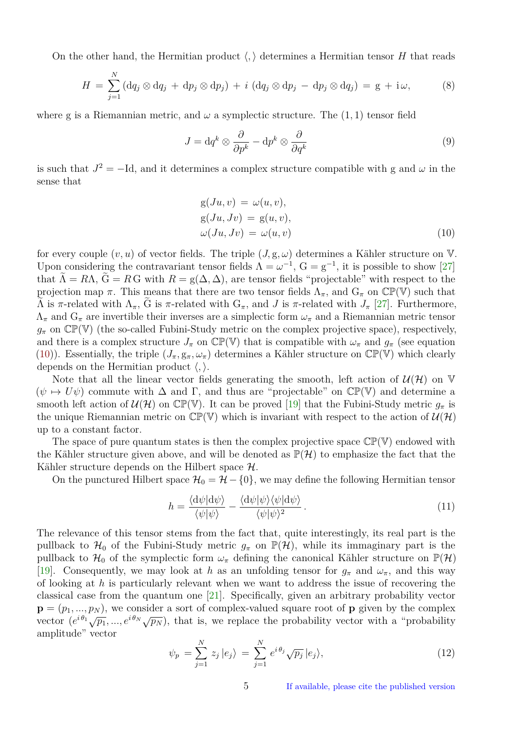<span id="page-4-3"></span>On the other hand, the Hermitian product  $\langle , \rangle$  determines a Hermitian tensor *H* that reads

$$
H = \sum_{j=1}^{N} (dq_j \otimes dq_j + dp_j \otimes dp_j) + i (dq_j \otimes dp_j - dp_j \otimes dq_j) = g + i\omega,
$$
 (8)

where g is a Riemannian metric, and  $\omega$  a symplectic structure. The  $(1, 1)$  tensor field

<span id="page-4-1"></span>
$$
J = \mathrm{d}q^k \otimes \frac{\partial}{\partial p^k} - \mathrm{d}p^k \otimes \frac{\partial}{\partial q^k} \tag{9}
$$

is such that  $J^2 = -Id$ , and it determines a complex structure compatible with g and  $\omega$  in the sense that

<span id="page-4-0"></span>
$$
g(Ju, v) = \omega(u, v),
$$
  
\n
$$
g(Ju, Jv) = g(u, v),
$$
  
\n
$$
\omega(Ju, Jv) = \omega(u, v)
$$
\n(10)

for every couple  $(v, u)$  of vector fields. The triple  $(J, g, \omega)$  determines a Kähler structure on V. Upon considering the contravariant tensor fields  $\Lambda = \omega^{-1}$ ,  $G = g^{-1}$ , it is possible to show [\[27\]](#page-17-8) that  $\Lambda = R\Lambda$ ,  $G = R G$  with  $R = g(\Delta, \Delta)$ , are tensor fields "projectable" with respect to the projection map  $\pi$ . This means that there are two tensor fields  $\Lambda_{\pi}$ , and  $G_{\pi}$  on  $\mathbb{CP}(\mathbb{V})$  such that  $Λ$  is *π*-related with  $Λ_π$ , G is *π*-related with  $G_π$ , and *J* is *π*-related with  $J_π$  [\[27\]](#page-17-8). Furthermore,  $\Lambda_{\pi}$  and  $G_{\pi}$  are invertible their inverses are a simplectic form  $\omega_{\pi}$  and a Riemannian metric tensor  $g_{\pi}$  on  $\mathbb{CP}(\mathbb{V})$  (the so-called Fubini-Study metric on the complex projective space), respectively, and there is a complex structure  $J_{\pi}$  on  $\mathbb{CP}(\mathbb{V})$  that is compatible with  $\omega_{\pi}$  and  $g_{\pi}$  (see equation [\(10\)](#page-4-0)). Essentially, the triple  $(J_{\pi}, g_{\pi}, \omega_{\pi})$  determines a Kähler structure on  $\mathbb{CP}(\mathbb{V})$  which clearly depends on the Hermitian product  $\langle , \rangle$ .

Note that all the linear vector fields generating the smooth, left action of  $\mathcal{U}(\mathcal{H})$  on V  $(\psi \mapsto U\psi)$  commute with  $\Delta$  and  $\Gamma$ , and thus are "projectable" on  $\mathbb{CP}(\mathbb{V})$  and determine a smooth left action of  $\mathcal{U}(\mathcal{H})$  on  $\mathbb{CP}(\mathbb{V})$ . It can be proved [\[19\]](#page-17-9) that the Fubini-Study metric  $g_{\pi}$  is the unique Riemannian metric on  $\mathbb{CP}(\mathbb{V})$  which is invariant with respect to the action of  $\mathcal{U}(\mathcal{H})$ up to a constant factor.

The space of pure quantum states is then the complex projective space  $\mathbb{CP}(\mathbb{V})$  endowed with the Kähler structure given above, and will be denoted as  $\mathbb{P}(\mathcal{H})$  to emphasize the fact that the Kähler structure depends on the Hilbert space H.

On the punctured Hilbert space  $\mathcal{H}_0 = \mathcal{H} - \{0\}$ , we may define the following Hermitian tensor

<span id="page-4-2"></span>
$$
h = \frac{\langle \mathrm{d}\psi | \mathrm{d}\psi \rangle}{\langle \psi | \psi \rangle} - \frac{\langle \mathrm{d}\psi | \psi \rangle \langle \psi | \mathrm{d}\psi \rangle}{\langle \psi | \psi \rangle^2} \,. \tag{11}
$$

The relevance of this tensor stems from the fact that, quite interestingly, its real part is the pullback to  $\mathcal{H}_0$  of the Fubini-Study metric  $g_\pi$  on  $\mathbb{P}(\mathcal{H})$ , while its immaginary part is the pullback to  $\mathcal{H}_0$  of the symplectic form  $\omega_\pi$  defining the canonical Kähler structure on  $\mathbb{P}(\mathcal{H})$ [\[19\]](#page-17-9). Consequently, we may look at *h* as an unfolding tensor for  $g_{\pi}$  and  $\omega_{\pi}$ , and this way of looking at *h* is particularly relevant when we want to address the issue of recovering the classical case from the quantum one [\[21\]](#page-17-10). Specifically, given an arbitrary probability vector  $\mathbf{p} = (p_1, ..., p_N)$ , we consider a sort of complex-valued square root of **p** given by the complex  $\mathbf{p} = (p_1, ..., p_N)$ , we consider a sort of complex-valued square root of  $\mathbf{p}$  given by the complex vector  $(e^{i\theta_1}\sqrt{p_1}, ..., e^{i\theta_N}\sqrt{p_N})$ , that is, we replace the probability vector with a "probability" amplitude" vector

$$
\psi_p = \sum_{j=1}^N z_j \, |e_j\rangle = \sum_{j=1}^N e^{i\theta_j} \sqrt{p_j} \, |e_j\rangle,\tag{12}
$$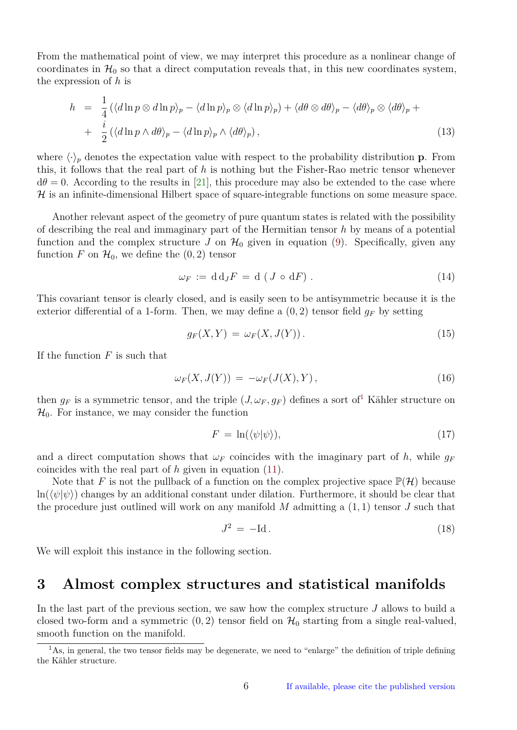<span id="page-5-3"></span>From the mathematical point of view, we may interpret this procedure as a nonlinear change of coordinates in  $\mathcal{H}_0$  so that a direct computation reveals that, in this new coordinates system, the expression of *h* is

$$
h = \frac{1}{4} (\langle d\ln p \otimes d\ln p \rangle_p - \langle d\ln p \rangle_p \otimes \langle d\ln p \rangle_p) + \langle d\theta \otimes d\theta \rangle_p - \langle d\theta \rangle_p \otimes \langle d\theta \rangle_p +
$$
  
+ 
$$
\frac{i}{2} (\langle d\ln p \wedge d\theta \rangle_p - \langle d\ln p \rangle_p \wedge \langle d\theta \rangle_p), \qquad (13)
$$

where  $\langle \cdot \rangle_p$  denotes the expectation value with respect to the probability distribution **p**. From this, it follows that the real part of *h* is nothing but the Fisher-Rao metric tensor whenever  $d\theta = 0$ . According to the results in [\[21\]](#page-17-10), this procedure may also be extended to the case where  $H$  is an infinite-dimensional Hilbert space of square-integrable functions on some measure space.

Another relevant aspect of the geometry of pure quantum states is related with the possibility of describing the real and immaginary part of the Hermitian tensor *h* by means of a potential function and the complex structure *J* on  $\mathcal{H}_0$  given in equation [\(9\)](#page-4-1). Specifically, given any function *F* on  $\mathcal{H}_0$ , we define the  $(0, 2)$  tensor

$$
\omega_F := \mathrm{d} \,\mathrm{d}_J F = \mathrm{d} \left( J \circ \mathrm{d} F \right). \tag{14}
$$

This covariant tensor is clearly closed, and is easily seen to be antisymmetric because it is the exterior differential of a 1-form. Then, we may define a  $(0, 2)$  tensor field  $g_F$  by setting

$$
g_F(X,Y) = \omega_F(X,J(Y)). \tag{15}
$$

If the function *F* is such that

<span id="page-5-2"></span>
$$
\omega_F(X, J(Y)) = -\omega_F(J(X), Y), \qquad (16)
$$

then  $g_F$  is a symmetric tensor, and the triple  $(J, \omega_F, g_F)$  defines a sort of<sup>[1](#page-5-1)</sup> Kähler structure on  $\mathcal{H}_0$ . For instance, we may consider the function

$$
F = \ln(\langle \psi | \psi \rangle),\tag{17}
$$

and a direct computation shows that  $\omega_F$  coincides with the imaginary part of h, while  $g_F$ coincides with the real part of *h* given in equation [\(11\)](#page-4-2).

Note that F is not the pullback of a function on the complex projective space  $\mathbb{P}(\mathcal{H})$  because  $\ln(\langle\psi|\psi\rangle)$  changes by an additional constant under dilation. Furthermore, it should be clear that the procedure just outlined will work on any manifold *M* admitting a (1*,* 1) tensor *J* such that

$$
J^2 = -\mathrm{Id} \,. \tag{18}
$$

We will exploit this instance in the following section.

#### <span id="page-5-0"></span>**3 Almost complex structures and statistical manifolds**

In the last part of the previous section, we saw how the complex structure *J* allows to build a closed two-form and a symmetric  $(0, 2)$  tensor field on  $\mathcal{H}_0$  starting from a single real-valued, smooth function on the manifold.

<span id="page-5-1"></span> $1<sup>1</sup>$ As, in general, the two tensor fields may be degenerate, we need to "enlarge" the definition of triple defining the Kähler structure.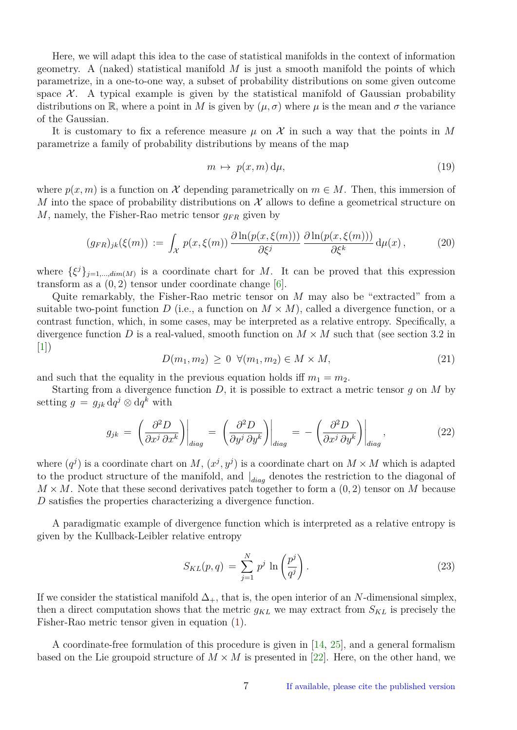<span id="page-6-0"></span>Here, we will adapt this idea to the case of statistical manifolds in the context of information geometry. A (naked) statistical manifold *M* is just a smooth manifold the points of which parametrize, in a one-to-one way, a subset of probability distributions on some given outcome space  $\mathcal{X}$ . A typical example is given by the statistical manifold of Gaussian probability distributions on R, where a point in *M* is given by  $(\mu, \sigma)$  where  $\mu$  is the mean and  $\sigma$  the variance of the Gaussian.

It is customary to fix a reference measure  $\mu$  on  $\mathcal X$  in such a way that the points in M parametrize a family of probability distributions by means of the map

$$
m \mapsto p(x,m) \, d\mu,\tag{19}
$$

where  $p(x, m)$  is a function on X depending parametrically on  $m \in M$ . Then, this immersion of *M* into the space of probability distributions on  $\mathcal X$  allows to define a geometrical structure on *M*, namely, the Fisher-Rao metric tensor  $q_{FR}$  given by

$$
(g_{FR})_{jk}(\xi(m)) := \int_{\mathcal{X}} p(x,\xi(m)) \frac{\partial \ln(p(x,\xi(m)))}{\partial \xi^j} \frac{\partial \ln(p(x,\xi(m)))}{\partial \xi^k} d\mu(x), \qquad (20)
$$

where  $\{\xi^j\}_{j=1,\dots,dim(M)}$  is a coordinate chart for *M*. It can be proved that this expression transform as a  $(0, 2)$  tensor under coordinate change  $[6]$ .

Quite remarkably, the Fisher-Rao metric tensor on *M* may also be "extracted" from a suitable two-point function *D* (i.e., a function on  $M \times M$ ), called a divergence function, or a contrast function, which, in some cases, may be interpreted as a relative entropy. Specifically, a divergence function *D* is a real-valued, smooth function on  $M \times M$  such that (see section 3.2 in  $[1]$ 

 $D(m_1, m_2) \geq 0 \ \forall (m_1, m_2) \in M \times M,$ (21)

and such that the equality in the previous equation holds iff  $m_1 = m_2$ .

Starting from a divergence function *D*, it is possible to extract a metric tensor *g* on *M* by setting  $g = g_{jk} dq^j \otimes dq^k$  with

$$
g_{jk} = \left. \left( \frac{\partial^2 D}{\partial x^j \, \partial x^k} \right) \right|_{diag} = \left. \left( \frac{\partial^2 D}{\partial y^j \, \partial y^k} \right) \right|_{diag} = - \left. \left( \frac{\partial^2 D}{\partial x^j \, \partial y^k} \right) \right|_{diag}, \tag{22}
$$

where  $(q^{j})$  is a coordinate chart on *M*,  $(x^{j}, y^{j})$  is a coordinate chart on  $M \times M$  which is adapted to the product structure of the manifold, and | *diag* denotes the restriction to the diagonal of  $M \times M$ . Note that these second derivatives patch together to form a  $(0, 2)$  tensor on *M* because *D* satisfies the properties characterizing a divergence function.

A paradigmatic example of divergence function which is interpreted as a relative entropy is given by the Kullback-Leibler relative entropy

$$
S_{KL}(p,q) = \sum_{j=1}^{N} p^j \ln\left(\frac{p^j}{q^j}\right). \tag{23}
$$

If we consider the statistical manifold  $\Delta_{+}$ , that is, the open interior of an *N*-dimensional simplex, then a direct computation shows that the metric  $g_{KL}$  we may extract from  $S_{KL}$  is precisely the Fisher-Rao metric tensor given in equation [\(1\)](#page-1-1).

A coordinate-free formulation of this procedure is given in [\[14,](#page-16-7) [25\]](#page-17-11), and a general formalism based on the Lie groupoid structure of  $M \times M$  is presented in [\[22\]](#page-17-12). Here, on the other hand, we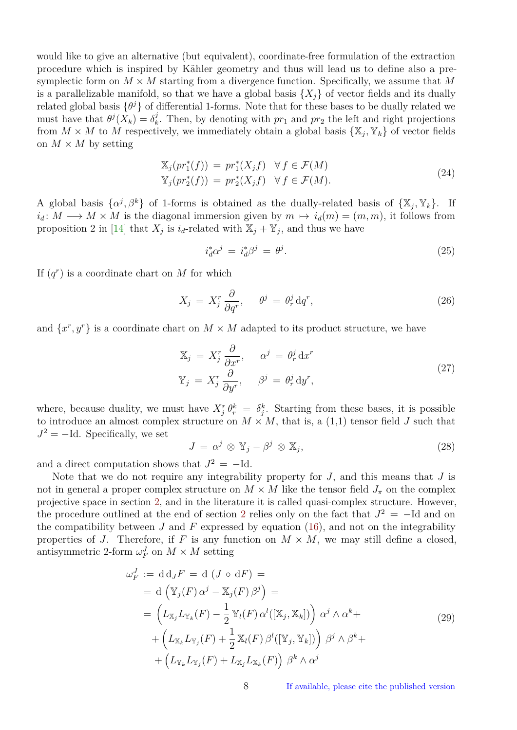<span id="page-7-2"></span>would like to give an alternative (but equivalent), coordinate-free formulation of the extraction procedure which is inspired by Kähler geometry and thus will lead us to define also a presymplectic form on  $M \times M$  starting from a divergence function. Specifically, we assume that M is a parallelizable manifold, so that we have a global basis  $\{X_i\}$  of vector fields and its dually related global basis  $\{\theta^j\}$  of differential 1-forms. Note that for these bases to be dually related we must have that  $\theta^j(X_k) = \delta^j_k$  $\mathcal{F}_k^j$ . Then, by denoting with  $pr_1$  and  $pr_2$  the left and right projections from  $M \times M$  to  $\hat{M}$  respectively, we immediately obtain a global basis  $\{\mathbb{X}_j, \mathbb{Y}_k\}$  of vector fields on  $M \times M$  by setting

$$
\mathbb{X}_j(pr_1^*(f)) = pr_1^*(X_j f) \quad \forall f \in \mathcal{F}(M)
$$
  

$$
\mathbb{Y}_j(pr_2^*(f)) = pr_2^*(X_j f) \quad \forall f \in \mathcal{F}(M).
$$
 (24)

A global basis  $\{\alpha^j, \beta^k\}$  of 1-forms is obtained as the dually-related basis of  $\{\mathbb{X}_j, \mathbb{Y}_k\}$ . If  $i_d: M \longrightarrow M \times M$  is the diagonal immersion given by  $m \mapsto i_d(m) = (m, m)$ , it follows from proposition 2 in [\[14\]](#page-16-7) that  $X_j$  is  $i_d$ -related with  $\mathbb{X}_j + \mathbb{Y}_j$ , and thus we have

<span id="page-7-0"></span>
$$
i_d^* \alpha^j = i_d^* \beta^j = \theta^j. \tag{25}
$$

If  $(q<sup>r</sup>)$  is a coordinate chart on *M* for which

$$
X_j = X_j^r \frac{\partial}{\partial q^r}, \quad \theta^j = \theta_r^j \, dq^r,\tag{26}
$$

and  $\{x^r, y^r\}$  is a coordinate chart on  $M \times M$  adapted to its product structure, we have

$$
\mathbb{X}_{j} = X_{j}^{r} \frac{\partial}{\partial x^{r}}, \qquad \alpha^{j} = \theta_{r}^{j} dx^{r}
$$
\n
$$
\mathbb{Y}_{j} = X_{j}^{r} \frac{\partial}{\partial y^{r}}, \qquad \beta^{j} = \theta_{r}^{j} dy^{r}, \qquad (27)
$$

where, because duality, we must have  $X_j^r \theta_r^k = \delta_j^k$ . Starting from these bases, it is possible to introduce an almost complex structure on  $M \times M$ , that is, a (1,1) tensor field *J* such that  $J^2 = -Id$ . Specifically, we set

$$
J = \alpha^j \otimes \mathbb{Y}_j - \beta^j \otimes \mathbb{X}_j,\tag{28}
$$

and a direct computation shows that  $J^2 = -Id$ .

Note that we do not require any integrability property for *J*, and this means that *J* is not in general a proper complex structure on  $M \times M$  like the tensor field  $J_{\pi}$  on the complex projective space in section [2,](#page-2-0) and in the literature it is called quasi-complex structure. However, the procedure outlined at the end of section [2](#page-2-0) relies only on the fact that  $J^2 = -Id$  and on the compatibility between *J* and *F* expressed by equation [\(16\)](#page-5-2), and not on the integrability properties of *J*. Therefore, if *F* is any function on  $M \times M$ , we may still define a closed, antisymmetric 2-form  $\omega_F^J$  on  $M \times M$  setting

<span id="page-7-1"></span>
$$
\omega_F^J := \mathrm{d} \,\mathrm{d}_J F = \mathrm{d} \left( J \circ \mathrm{d} F \right) =
$$
\n
$$
= \mathrm{d} \left( \mathbb{Y}_j(F) \, \alpha^j - \mathbb{X}_j(F) \, \beta^j \right) =
$$
\n
$$
= \left( L_{\mathbb{X}_j} L_{\mathbb{Y}_k}(F) - \frac{1}{2} \mathbb{Y}_l(F) \, \alpha^l([\mathbb{X}_j, \mathbb{X}_k]) \right) \, \alpha^j \wedge \alpha^k +
$$
\n
$$
+ \left( L_{\mathbb{X}_k} L_{\mathbb{Y}_j}(F) + \frac{1}{2} \mathbb{X}_l(F) \, \beta^l([\mathbb{Y}_j, \mathbb{Y}_k]) \right) \, \beta^j \wedge \beta^k +
$$
\n
$$
+ \left( L_{\mathbb{Y}_k} L_{\mathbb{Y}_j}(F) + L_{\mathbb{X}_j} L_{\mathbb{X}_k}(F) \right) \, \beta^k \wedge \alpha^j
$$
\n(29)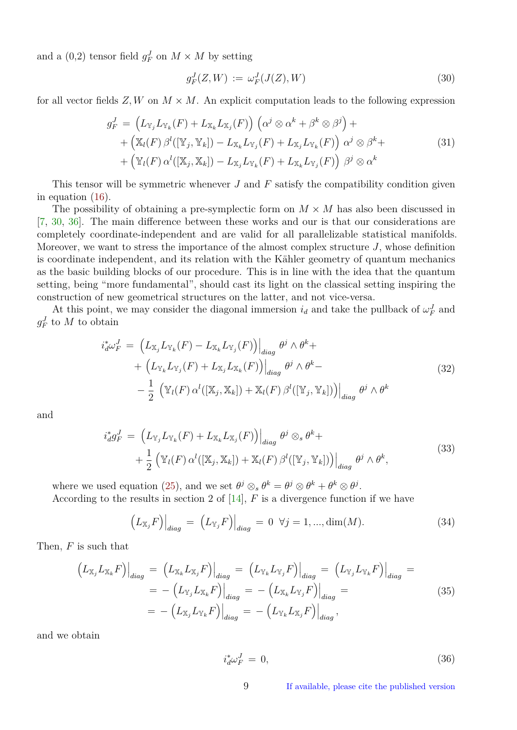<span id="page-8-1"></span>and a  $(0,2)$  tensor field  $g_F^J$  on  $M \times M$  by setting

$$
g_F^J(Z, W) := \omega_F^J(J(Z), W) \tag{30}
$$

<span id="page-8-0"></span>for all vector fields  $Z, W$  on  $M \times M$ . An explicit computation leads to the following expression

$$
g_F^J = \left( L_{\mathbb{Y}_j} L_{\mathbb{Y}_k}(F) + L_{\mathbb{X}_k} L_{\mathbb{X}_j}(F) \right) \left( \alpha^j \otimes \alpha^k + \beta^k \otimes \beta^j \right) + + \left( \mathbb{X}_l(F) \beta^l([\mathbb{Y}_j, \mathbb{Y}_k]) - L_{\mathbb{X}_k} L_{\mathbb{Y}_j}(F) + L_{\mathbb{X}_j} L_{\mathbb{Y}_k}(F) \right) \alpha^j \otimes \beta^k + + \left( \mathbb{Y}_l(F) \alpha^l([\mathbb{X}_j, \mathbb{X}_k]) - L_{\mathbb{X}_j} L_{\mathbb{Y}_k}(F) + L_{\mathbb{X}_k} L_{\mathbb{Y}_j}(F) \right) \beta^j \otimes \alpha^k
$$
 (31)

This tensor will be symmetric whenever *J* and *F* satisfy the compatibility condition given in equation [\(16\)](#page-5-2).

The possibility of obtaining a pre-symplectic form on  $M \times M$  has also been discussed in [\[7,](#page-16-8) [30,](#page-17-13) [36\]](#page-18-0). The main difference between these works and our is that our considerations are completely coordinate-independent and are valid for all parallelizable statistical manifolds. Moreover, we want to stress the importance of the almost complex structure *J*, whose definition is coordinate independent, and its relation with the Kähler geometry of quantum mechanics as the basic building blocks of our procedure. This is in line with the idea that the quantum setting, being "more fundamental", should cast its light on the classical setting inspiring the construction of new geometrical structures on the latter, and not vice-versa.

At this point, we may consider the diagonal immersion  $i_d$  and take the pullback of  $\omega_F^J$  and  $g_F^J$  to *M* to obtain

$$
i_d^*\omega_F^J = \left( L_{\mathbb{X}_j} L_{\mathbb{Y}_k}(F) - L_{\mathbb{X}_k} L_{\mathbb{Y}_j}(F) \right) \Big|_{diag} \theta^j \wedge \theta^k +
$$
  
+ 
$$
\left( L_{\mathbb{Y}_k} L_{\mathbb{Y}_j}(F) + L_{\mathbb{X}_j} L_{\mathbb{X}_k}(F) \right) \Big|_{diag} \theta^j \wedge \theta^k -
$$
  
- 
$$
\frac{1}{2} \left( \mathbb{Y}_l(F) \alpha^l([\mathbb{X}_j, \mathbb{X}_k]) + \mathbb{X}_l(F) \beta^l([\mathbb{Y}_j, \mathbb{Y}_k]) \right) \Big|_{diag} \theta^j \wedge \theta^k
$$
 (32)

and

$$
i_d^* g_F^J = \left( L_{\mathbb{Y}_j} L_{\mathbb{Y}_k}(F) + L_{\mathbb{X}_k} L_{\mathbb{X}_j}(F) \right) \Big|_{diag} \theta^j \otimes_s \theta^k + + \frac{1}{2} \left( \mathbb{Y}_l(F) \alpha^l([\mathbb{X}_j, \mathbb{X}_k]) + \mathbb{X}_l(F) \beta^l([\mathbb{Y}_j, \mathbb{Y}_k]) \right) \Big|_{diag} \theta^j \wedge \theta^k,
$$
\n(33)

where we used equation [\(25\)](#page-7-0), and we set  $\theta^j \otimes_s \theta^k = \theta^j \otimes \theta^k + \theta^k \otimes \theta^j$ .

According to the results in section 2 of [\[14\]](#page-16-7), *F* is a divergence function if we have

$$
\left(L_{\mathbb{X}_j}F\right)\Big|_{diag} = \left(L_{\mathbb{Y}_j}F\right)\Big|_{diag} = 0 \quad \forall j = 1, ..., \dim(M). \tag{34}
$$

Then, *F* is such that

$$
\left(L_{\mathbb{X}_{j}}L_{\mathbb{X}_{k}}F\right)\Big|_{diag} = \left(L_{\mathbb{X}_{k}}L_{\mathbb{X}_{j}}F\right)\Big|_{diag} = \left(L_{\mathbb{Y}_{k}}L_{\mathbb{Y}_{j}}F\right)\Big|_{diag} = \left(L_{\mathbb{Y}_{j}}L_{\mathbb{Y}_{k}}F\right)\Big|_{diag} = -\left(L_{\mathbb{Y}_{j}}L_{\mathbb{X}_{k}}F\right)\Big|_{diag} = -\left(L_{\mathbb{X}_{j}}L_{\mathbb{Y}_{j}}F\right)\Big|_{diag} = -\left(L_{\mathbb{X}_{j}}L_{\mathbb{Y}_{k}}F\right)\Big|_{diag} = -\left(L_{\mathbb{X}_{j}}L_{\mathbb{Y}_{k}}F\right)\Big|_{diag}, \tag{35}
$$

and we obtain

$$
i_d^* \omega_F^J = 0,\t\t(36)
$$

9 If available, please cite the published version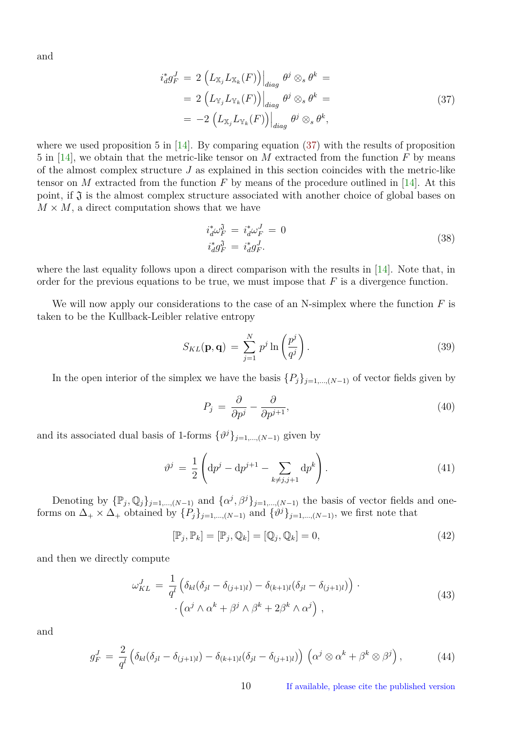<span id="page-9-1"></span><span id="page-9-0"></span>and

$$
i_d^* g_F^J = 2 \left( L_{\mathbb{X}_j} L_{\mathbb{X}_k}(F) \right) \Big|_{diag} \theta^j \otimes_s \theta^k =
$$
  
= 2 \left( L\_{\mathbb{Y}\_j} L\_{\mathbb{Y}\_k}(F) \right) \Big|\_{diag} \theta^j \otimes\_s \theta^k =  
= -2 \left( L\_{\mathbb{X}\_j} L\_{\mathbb{Y}\_k}(F) \right) \Big|\_{diag} \theta^j \otimes\_s \theta^k, \tag{37}

where we used proposition 5 in  $[14]$ . By comparing equation [\(37\)](#page-9-0) with the results of proposition 5 in [\[14\]](#page-16-7), we obtain that the metric-like tensor on *M* extracted from the function *F* by means of the almost complex structure *J* as explained in this section coincides with the metric-like tensor on *M* extracted from the function *F* by means of the procedure outlined in [\[14\]](#page-16-7). At this point, if  $\mathfrak J$  is the almost complex structure associated with another choice of global bases on  $M \times M$ , a direct computation shows that we have

$$
i_d^* \omega_F^{\mathfrak{J}} = i_d^* \omega_F^J = 0
$$
  
\n
$$
i_d^* g_F^{\mathfrak{J}} = i_d^* g_F^J.
$$
\n(38)

where the last equality follows upon a direct comparison with the results in [\[14\]](#page-16-7). Note that, in order for the previous equations to be true, we must impose that *F* is a divergence function.

We will now apply our considerations to the case of an N-simplex where the function *F* is taken to be the Kullback-Leibler relative entropy

$$
S_{KL}(\mathbf{p}, \mathbf{q}) = \sum_{j=1}^{N} p^j \ln \left( \frac{p^j}{q^j} \right). \tag{39}
$$

In the open interior of the simplex we have the basis  $\{P_j\}_{j=1,\dots,(N-1)}$  of vector fields given by

$$
P_j = \frac{\partial}{\partial p^j} - \frac{\partial}{\partial p^{j+1}},\tag{40}
$$

and its associated dual basis of 1-forms  $\{\vartheta^j\}_{j=1,\dots,(N-1)}$  given by

$$
\vartheta^{j} = \frac{1}{2} \left( dp^{j} - dp^{j+1} - \sum_{k \neq j, j+1} dp^{k} \right).
$$
 (41)

Denoting by  $\{\mathbb{P}_j, \mathbb{Q}_j\}_{j=1,\dots,(N-1)}$  and  $\{\alpha^j, \beta^j\}_{j=1,\dots,(N-1)}$  the basis of vector fields and oneforms on  $\Delta_+ \times \Delta_+$  obtained by  $\{P_j\}_{j=1,\dots,(N-1)}$  and  $\{\vartheta^j\}_{j=1,\dots,(N-1)}$ , we first note that

$$
[\mathbb{P}_j, \mathbb{P}_k] = [\mathbb{P}_j, \mathbb{Q}_k] = [\mathbb{Q}_j, \mathbb{Q}_k] = 0,
$$
\n(42)

and then we directly compute

$$
\omega_{KL}^J = \frac{1}{q^l} \left( \delta_{kl} (\delta_{jl} - \delta_{(j+1)l}) - \delta_{(k+1)l} (\delta_{jl} - \delta_{(j+1)l}) \right) \cdot \left( 43 \right) \cdot \left( \alpha^j \wedge \alpha^k + \beta^j \wedge \beta^k + 2\beta^k \wedge \alpha^j \right) ,
$$
\n(43)

and

$$
g_F^J = \frac{2}{q^l} \left( \delta_{kl} (\delta_{jl} - \delta_{(j+1)l}) - \delta_{(k+1)l} (\delta_{jl} - \delta_{(j+1)l}) \right) \left( \alpha^j \otimes \alpha^k + \beta^k \otimes \beta^j \right), \tag{44}
$$

10 If available, please cite the published version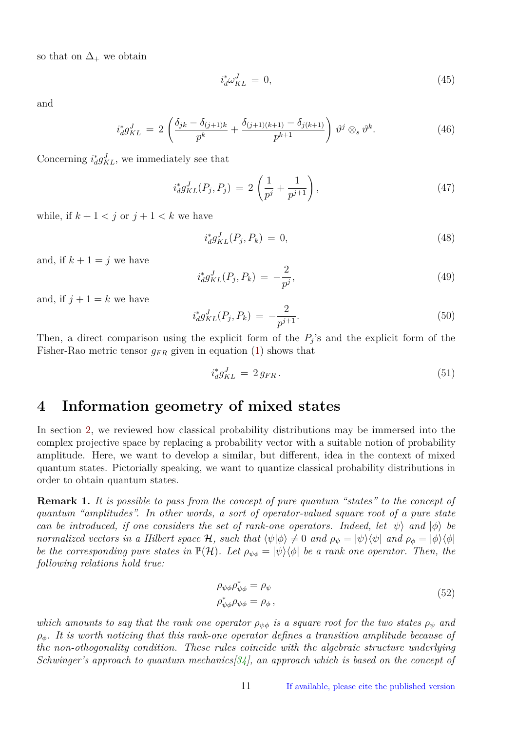<span id="page-10-1"></span>so that on  $\Delta_+$  we obtain

$$
i_d^* \omega_{KL}^J = 0,\t\t(45)
$$

and

$$
i_d^* g_{KL}^J = 2 \left( \frac{\delta_{jk} - \delta_{(j+1)k}}{p^k} + \frac{\delta_{(j+1)(k+1)} - \delta_{j(k+1)}}{p^{k+1}} \right) \vartheta^j \otimes_s \vartheta^k.
$$
 (46)

Concerning  $i_d^* g_{KL}^J$ , we immediately see that

$$
i_d^* g_{KL}^J(P_j, P_j) = 2\left(\frac{1}{p^j} + \frac{1}{p^{j+1}}\right),\tag{47}
$$

while, if  $k + 1 < j$  or  $j + 1 < k$  we have

$$
i_d^* g_{KL}^J(P_j, P_k) = 0,\t\t(48)
$$

and, if  $k + 1 = j$  we have

$$
i_d^* g_{KL}^J(P_j, P_k) = -\frac{2}{p^j},\tag{49}
$$

and, if  $j + 1 = k$  we have

$$
i_d^* g_{KL}^J(P_j, P_k) = -\frac{2}{p^{j+1}}.\tag{50}
$$

Then, a direct comparison using the explicit form of the  $P_j$ 's and the explicit form of the Fisher-Rao metric tensor  $g_{FR}$  given in equation [\(1\)](#page-1-1) shows that

$$
i_d^* g_{KL}^J = 2 g_{FR} \,. \tag{51}
$$

### <span id="page-10-0"></span>**4 Information geometry of mixed states**

In section [2,](#page-2-0) we reviewed how classical probability distributions may be immersed into the complex projective space by replacing a probability vector with a suitable notion of probability amplitude. Here, we want to develop a similar, but different, idea in the context of mixed quantum states. Pictorially speaking, we want to quantize classical probability distributions in order to obtain quantum states.

**Remark 1.** *It is possible to pass from the concept of pure quantum "states" to the concept of quantum "amplitudes". In other words, a sort of operator-valued square root of a pure state can be introduced, if one considers the set of rank-one operators. Indeed, let*  $|\psi\rangle$  *and*  $|\phi\rangle$  *be normalized vectors in a Hilbert space* H, such that  $\langle \psi | \phi \rangle \neq 0$  and  $\rho_{\psi} = | \psi \rangle \langle \psi |$  and  $\rho_{\phi} = | \phi \rangle \langle \phi |$ *be the corresponding pure states in*  $\mathbb{P}(\mathcal{H})$ *. Let*  $\rho_{\psi\phi} = |\psi\rangle\langle\phi|$  *be a rank one operator. Then, the following relations hold true:*

$$
\rho_{\psi\phi}\rho_{\psi\phi}^* = \rho_{\psi}
$$
  
\n
$$
\rho_{\psi\phi}^*\rho_{\psi\phi} = \rho_{\phi},
$$
\n(52)

*which amounts to say that the rank one operator*  $\rho_{\psi\phi}$  *is a square root for the two states*  $\rho_{\psi}$  *and ρφ. It is worth noticing that this rank-one operator defines a transition amplitude because of the non-othogonality condition. These rules coincide with the algebraic structure underlying Schwinger's approach to quantum mechanics[\[34\]](#page-18-1), an approach which is based on the concept of*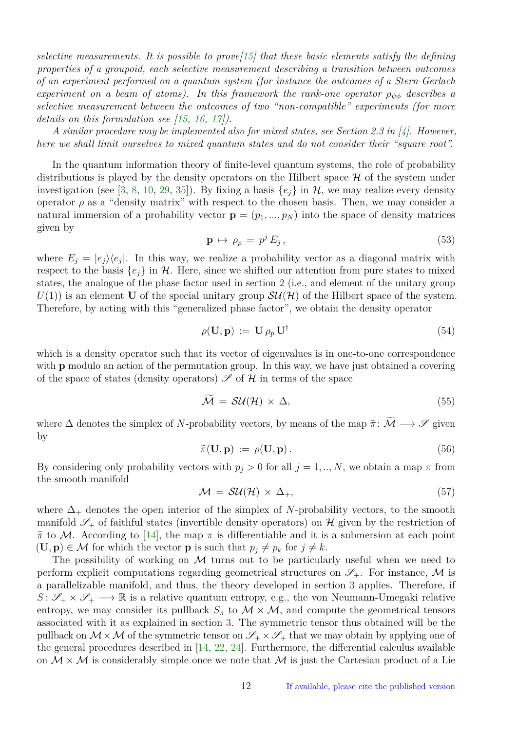<span id="page-11-1"></span>*selective measurements. It is possible to prove[\[15\]](#page-16-9) that these basic elements satisfy the defining properties of a groupoid, each selective measurement describing a transition between outcomes of an experiment performed on a quantum system (for instance the outcomes of a Stern-Gerlach experiment on a beam of atoms). In this framework the rank-one operator*  $\rho_{\psi\phi}$  *describes a selective measurement between the outcomes of two "non-compatible" experiments (for more details on this formulation see [\[15,](#page-16-9) [16,](#page-16-10) [17\]](#page-17-14)).*

*A similar procedure may be implemented also for mixed states, see Section 2.3 in [\[4\]](#page-16-11). However, here we shall limit ourselves to mixed quantum states and do not consider their "square root".*

In the quantum information theory of finite-level quantum systems, the role of probability distributions is played by the density operators on the Hilbert space  $\mathcal H$  of the system under investigation (see [\[3,](#page-16-12) [8,](#page-16-13) [10,](#page-16-14) [29,](#page-17-15) [35\]](#page-18-2)). By fixing a basis  $\{e_i\}$  in  $\mathcal{H}$ , we may realize every density operator  $\rho$  as a "density matrix" with respect to the chosen basis. Then, we may consider a natural immersion of a probability vector  $\mathbf{p} = (p_1, ..., p_N)$  into the space of density matrices given by

<span id="page-11-0"></span>
$$
\mathbf{p} \mapsto \rho_p = p^j E_j,\tag{53}
$$

where  $E_j = |e_j\rangle\langle e_j|$ . In this way, we realize a probability vector as a diagonal matrix with respect to the basis  $\{e_i\}$  in H. Here, since we shifted our attention from pure states to mixed states, the analogue of the phase factor used in section [2](#page-2-0) (i.e., and element of the unitary group  $U(1)$  is an element **U** of the special unitary group  $SU(\mathcal{H})$  of the Hilbert space of the system. Therefore, by acting with this "generalized phase factor", we obtain the density operator

$$
\rho(\mathbf{U}, \mathbf{p}) := \mathbf{U} \rho_p \mathbf{U}^{\dagger} \tag{54}
$$

which is a density operator such that its vector of eigenvalues is in one-to-one correspondence with **p** modulo an action of the permutation group. In this way, we have just obtained a covering of the space of states (density operators)  $\mathscr S$  of  $\mathcal H$  in terms of the space

$$
\tilde{\mathcal{M}} = \mathcal{SU}(\mathcal{H}) \times \Delta,\tag{55}
$$

where  $\Delta$  denotes the simplex of *N*-probability vectors, by means of the map  $\tilde{\pi}$ :  $\tilde{\mathcal{M}} \longrightarrow \mathcal{S}$  given by

$$
\widetilde{\pi}(\mathbf{U}, \mathbf{p}) := \rho(\mathbf{U}, \mathbf{p}). \tag{56}
$$

By considering only probability vectors with  $p_j > 0$  for all  $j = 1, ..., N$ , we obtain a map  $\pi$  from the smooth manifold

$$
\mathcal{M} = \mathcal{SU}(\mathcal{H}) \times \Delta_+, \tag{57}
$$

where  $\Delta_+$  denotes the open interior of the simplex of *N*-probability vectors, to the smooth manifold  $\mathscr{S}_+$  of faithful states (invertible density operators) on H given by the restriction of  $\tilde{\pi}$  to M. According to [\[14\]](#page-16-7), the map  $\pi$  is differentiable and it is a submersion at each point  $(\mathbf{U}, \mathbf{p}) \in \mathcal{M}$  for which the vector **p** is such that  $p_j \neq p_k$  for  $j \neq k$ .

The possibility of working on  $M$  turns out to be particularly useful when we need to perform explicit computations regarding geometrical structures on  $\mathscr{S}_+$ . For instance, M is a parallelizable manifold, and thus, the theory developed in section [3](#page-5-0) applies. Therefore, if  $S: \mathscr{S}_+ \times \mathscr{S}_+ \longrightarrow \mathbb{R}$  is a relative quantum entropy, e.g., the von Neumann-Umegaki relative entropy, we may consider its pullback  $S_{\pi}$  to  $\mathcal{M} \times \mathcal{M}$ , and compute the geometrical tensors associated with it as explained in section [3.](#page-5-0) The symmetric tensor thus obtained will be the pullback on  $M \times M$  of the symmetric tensor on  $\mathscr{S}_+ \times \mathscr{S}_+$  that we may obtain by applying one of the general procedures described in [\[14,](#page-16-7) [22,](#page-17-12) [24\]](#page-17-16). Furthermore, the differential calculus available on  $\mathcal{M} \times \mathcal{M}$  is considerably simple once we note that  $\mathcal{M}$  is just the Cartesian product of a Lie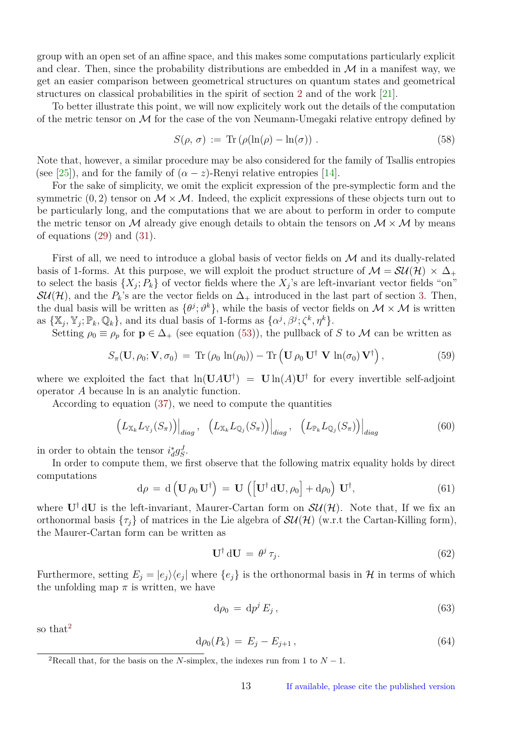<span id="page-12-1"></span>group with an open set of an affine space, and this makes some computations particularly explicit and clear. Then, since the probability distributions are embedded in  $\mathcal M$  in a manifest way, we get an easier comparison between geometrical structures on quantum states and geometrical structures on classical probabilities in the spirit of section [2](#page-2-0) and of the work [\[21\]](#page-17-10).

To better illustrate this point, we will now explicitely work out the details of the computation of the metric tensor on  $\mathcal M$  for the case of the von Neumann-Umegaki relative entropy defined by

$$
S(\rho, \sigma) := \text{Tr} \left( \rho (\ln(\rho) - \ln(\sigma)) \right). \tag{58}
$$

Note that, however, a similar procedure may be also considered for the family of Tsallis entropies (see [\[25\]](#page-17-11)), and for the family of  $(\alpha - z)$ -Renyi relative entropies [\[14\]](#page-16-7).

For the sake of simplicity, we omit the explicit expression of the pre-symplectic form and the symmetric  $(0, 2)$  tensor on  $\mathcal{M} \times \mathcal{M}$ . Indeed, the explicit expressions of these objects turn out to be particularly long, and the computations that we are about to perform in order to compute the metric tensor on M already give enough details to obtain the tensors on  $\mathcal{M} \times \mathcal{M}$  by means of equations [\(29\)](#page-7-1) and [\(31\)](#page-8-0).

First of all, we need to introduce a global basis of vector fields on  $\mathcal M$  and its dually-related basis of 1-forms. At this purpose, we will exploit the product structure of  $\mathcal{M} = \mathcal{SU}(\mathcal{H}) \times \Delta_+$ to select the basis  $\{X_j; P_k\}$  of vector fields where the  $X_j$ 's are left-invariant vector fields "on"  $\mathcal{SU}(\mathcal{H})$ , and the  $P_k$ 's are the vector fields on  $\Delta_+$  introduced in the last part of section [3.](#page-5-0) Then, the dual basis will be written as  $\{\theta^j; \vartheta^k\}$ , while the basis of vector fields on  $\mathcal{M} \times \mathcal{M}$  is written as  $\{\mathbb{X}_j, \mathbb{Y}_j; \mathbb{P}_k, \mathbb{Q}_k\}$ , and its dual basis of 1-forms as  $\{\alpha^j, \beta^j; \zeta^k, \eta^k\}$ .

Setting  $\rho_0 \equiv \rho_p$  for  $\mathbf{p} \in \Delta_+$  (see equation [\(53\)](#page-11-0)), the pullback of *S* to *M* can be written as

$$
S_{\pi}(\mathbf{U}, \rho_0; \mathbf{V}, \sigma_0) = \text{Tr}(\rho_0 \ln(\rho_0)) - \text{Tr}(\mathbf{U} \rho_0 \mathbf{U}^{\dagger} \mathbf{V} \ln(\sigma_0) \mathbf{V}^{\dagger}), \qquad (59)
$$

where we exploited the fact that  $ln(UAU^{\dagger}) = Uln(A)U^{\dagger}$  for every invertible self-adjoint operator *A* because ln is an analytic function.

According to equation [\(37\)](#page-9-0), we need to compute the quantities

$$
\left( L_{\mathbb{X}_k} L_{\mathbb{Y}_j}(S_{\pi}) \right) \Big|_{diag}, \quad \left( L_{\mathbb{X}_k} L_{\mathbb{Q}_j}(S_{\pi}) \right) \Big|_{diag}, \quad \left( L_{\mathbb{P}_k} L_{\mathbb{Q}_j}(S_{\pi}) \right) \Big|_{diag} \tag{60}
$$

in order to obtain the tensor  $i_d^* g_S^J$ .

In order to compute them, we first observe that the following matrix equality holds by direct computations

$$
d\rho = d\left(\mathbf{U}\,\rho_0\,\mathbf{U}^\dagger\right) = \mathbf{U}\,\left(\left[\mathbf{U}^\dagger\,\mathrm{d}\mathbf{U},\rho_0\right] + d\rho_0\right)\,\mathbf{U}^\dagger,\tag{61}
$$

where  $U^{\dagger}$  dU is the left-invariant, Maurer-Cartan form on  $SU(H)$ . Note that, If we fix an orthonormal basis  $\{\tau_j\}$  of matrices in the Lie algebra of  $\mathcal{SU}(\mathcal{H})$  (w.r.t the Cartan-Killing form), the Maurer-Cartan form can be written as

$$
\mathbf{U}^{\dagger} \, \mathrm{d} \mathbf{U} \, = \, \theta^j \, \tau_j. \tag{62}
$$

Furthermore, setting  $E_j = |e_j\rangle\langle e_j|$  where  $\{e_j\}$  is the orthonormal basis in H in terms of which the unfolding map  $\pi$  is written, we have

$$
d\rho_0 = dp^j E_j, \qquad (63)
$$

so that<sup>[2](#page-12-0)</sup>

$$
d\rho_0(P_k) = E_j - E_{j+1}, \qquad (64)
$$

<span id="page-12-0"></span><sup>&</sup>lt;sup>2</sup>Recall that, for the basis on the *N*-simplex, the indexes run from 1 to  $N-1$ .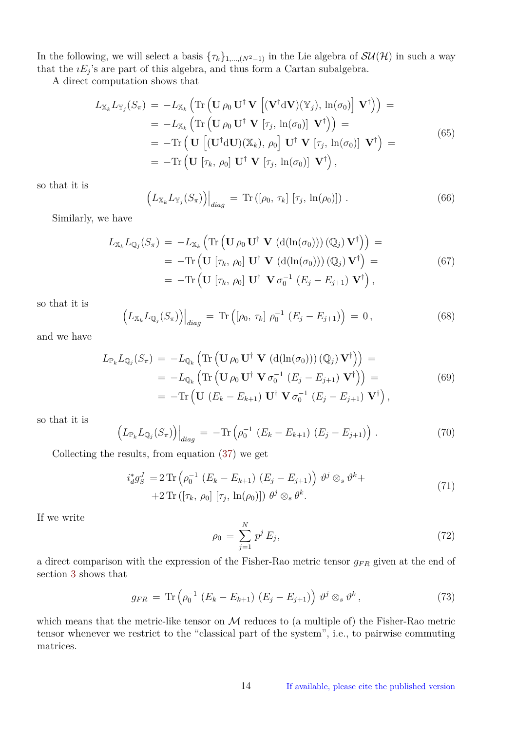In the following, we will select a basis  $\{\tau_k\}_{1,\dots,(N^2-1)}$  in the Lie algebra of  $SU(H)$  in such a way that the  $iE_j$ 's are part of this algebra, and thus form a Cartan subalgebra.

A direct computation shows that

$$
L_{\mathbb{X}_k} L_{\mathbb{Y}_j}(S_{\pi}) = -L_{\mathbb{X}_k} \left( \text{Tr} \left( \mathbf{U} \rho_0 \mathbf{U}^{\dagger} \mathbf{V} \left[ (\mathbf{V}^{\dagger} \mathbf{d} \mathbf{V})(\mathbb{Y}_j), \ln(\sigma_0) \right] \mathbf{V}^{\dagger} \right) \right) =
$$
  
\n
$$
= -L_{\mathbb{X}_k} \left( \text{Tr} \left( \mathbf{U} \rho_0 \mathbf{U}^{\dagger} \mathbf{V} \left[ \tau_j, \ln(\sigma_0) \right] \mathbf{V}^{\dagger} \right) \right) =
$$
  
\n
$$
= -\text{Tr} \left( \mathbf{U} \left[ (\mathbf{U}^{\dagger} \mathbf{d} \mathbf{U})(\mathbb{X}_k), \rho_0 \right] \mathbf{U}^{\dagger} \mathbf{V} \left[ \tau_j, \ln(\sigma_0) \right] \mathbf{V}^{\dagger} \right) =
$$
  
\n
$$
= -\text{Tr} \left( \mathbf{U} \left[ \tau_k, \rho_0 \right] \mathbf{U}^{\dagger} \mathbf{V} \left[ \tau_j, \ln(\sigma_0) \right] \mathbf{V}^{\dagger} \right),
$$
  
\n(65)

so that it is

$$
\left( L_{\mathbb{X}_k} L_{\mathbb{Y}_j}(S_\pi) \right) \Big|_{diag} = \text{Tr} \left( [\rho_0, \tau_k] \left[ \tau_j, \ln(\rho_0) \right] \right). \tag{66}
$$

Similarly, we have

$$
L_{\mathbb{X}_k} L_{\mathbb{Q}_j}(S_{\pi}) = -L_{\mathbb{X}_k} \left( \text{Tr} \left( \mathbf{U} \rho_0 \mathbf{U}^{\dagger} \mathbf{V} \left( \mathrm{d}(\ln(\sigma_0)) \right) (\mathbb{Q}_j) \mathbf{V}^{\dagger} \right) \right) =
$$
  
\n
$$
= -\text{Tr} \left( \mathbf{U} \left[ \tau_k, \rho_0 \right] \mathbf{U}^{\dagger} \mathbf{V} \left( \mathrm{d}(\ln(\sigma_0)) \right) (\mathbb{Q}_j) \mathbf{V}^{\dagger} \right) =
$$
  
\n
$$
= -\text{Tr} \left( \mathbf{U} \left[ \tau_k, \rho_0 \right] \mathbf{U}^{\dagger} \mathbf{V} \sigma_0^{-1} \left( E_j - E_{j+1} \right) \mathbf{V}^{\dagger} \right),
$$
  
\n(67)

so that it is

$$
\left( L_{\mathbb{X}_k} L_{\mathbb{Q}_j}(S_{\pi}) \right) \Big|_{diag} = \text{Tr} \left( [\rho_0, \tau_k] \; \rho_0^{-1} \; (E_j - E_{j+1}) \right) = 0, \tag{68}
$$

and we have

$$
L_{\mathbb{P}_k} L_{\mathbb{Q}_j}(S_{\pi}) = -L_{\mathbb{Q}_k} \left( \text{Tr} \left( \mathbf{U} \rho_0 \mathbf{U}^{\dagger} \mathbf{V} \left( \mathrm{d}(\ln(\sigma_0)) \right) (\mathbb{Q}_j) \mathbf{V}^{\dagger} \right) \right) =
$$
  
\n
$$
= -L_{\mathbb{Q}_k} \left( \text{Tr} \left( \mathbf{U} \rho_0 \mathbf{U}^{\dagger} \mathbf{V} \sigma_0^{-1} \left( E_j - E_{j+1} \right) \mathbf{V}^{\dagger} \right) \right) =
$$
  
\n
$$
= -\text{Tr} \left( \mathbf{U} \left( E_k - E_{k+1} \right) \mathbf{U}^{\dagger} \mathbf{V} \sigma_0^{-1} \left( E_j - E_{j+1} \right) \mathbf{V}^{\dagger} \right),
$$
  
\n(69)

so that it is

$$
\left( L_{\mathbb{P}_k} L_{\mathbb{Q}_j}(S_{\pi}) \right) \Big|_{diag} = -\text{Tr} \left( \rho_0^{-1} \left( E_k - E_{k+1} \right) \left( E_j - E_{j+1} \right) \right) . \tag{70}
$$

Collecting the results, from equation [\(37\)](#page-9-0) we get

$$
i_d^* g_S^J = 2 \operatorname{Tr} \left( \rho_0^{-1} \left( E_k - E_{k+1} \right) \left( E_j - E_{j+1} \right) \right) \vartheta^j \otimes_s \vartheta^k +
$$
  
+2 \operatorname{Tr} \left( \left[ \tau\_k, \rho\_0 \right] \left[ \tau\_j, \ln(\rho\_0) \right] \right) \theta^j \otimes\_s \theta^k. \tag{71}

If we write

$$
\rho_0 = \sum_{j=1}^{N} p^j E_j,
$$
\n(72)

a direct comparison with the expression of the Fisher-Rao metric tensor *gF R* given at the end of section [3](#page-5-0) shows that

$$
g_{FR} = \text{Tr}\left(\rho_0^{-1} \left(E_k - E_{k+1}\right) \left(E_j - E_{j+1}\right)\right) \vartheta^j \otimes_s \vartheta^k, \qquad (73)
$$

which means that the metric-like tensor on  $M$  reduces to (a multiple of) the Fisher-Rao metric tensor whenever we restrict to the "classical part of the system", i.e., to pairwise commuting matrices.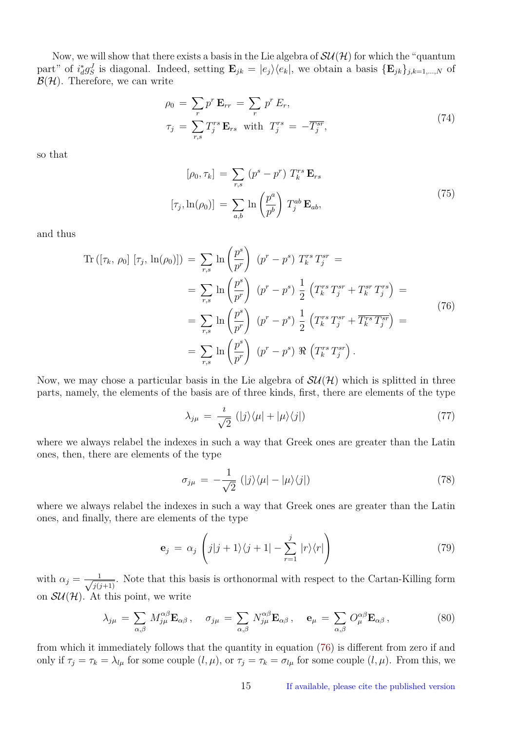Now, we will show that there exists a basis in the Lie algebra of  $SU(\mathcal{H})$  for which the "quantum" part" of  $i_d^* g_S^J$  is diagonal. Indeed, setting  $\mathbf{E}_{jk} = |e_j\rangle\langle e_k|$ , we obtain a basis  $\{\mathbf{E}_{jk}\}_{j,k=1,\dots,N}$  of  $\mathcal{B}(\mathcal{H})$ . Therefore, we can write

$$
\rho_0 = \sum_r p^r \mathbf{E}_{rr} = \sum_r p^r E_r,
$$
  
\n
$$
\tau_j = \sum_{r,s} T_j^{rs} \mathbf{E}_{rs} \text{ with } T_j^{rs} = -\overline{T_j^{sr}},
$$
\n(74)

so that

$$
[\rho_0, \tau_k] = \sum_{r,s} (p^s - p^r) T_k^{rs} \mathbf{E}_{rs}
$$

$$
[\tau_j, \ln(\rho_0)] = \sum_{a,b} \ln\left(\frac{p^a}{p^b}\right) T_j^{ab} \mathbf{E}_{ab},
$$
(75)

<span id="page-14-0"></span>and thus

$$
\operatorname{Tr}\left(\left[\tau_{k},\,\rho_{0}\right]\left[\tau_{j},\,\ln(\rho_{0})\right]\right) = \sum_{r,s} \ln\left(\frac{p^{s}}{p^{r}}\right) \left(p^{r}-p^{s}\right) T_{k}^{rs} T_{j}^{sr} =
$$
\n
$$
= \sum_{r,s} \ln\left(\frac{p^{s}}{p^{r}}\right) \left(p^{r}-p^{s}\right) \frac{1}{2} \left(T_{k}^{rs} T_{j}^{sr} + T_{k}^{sr} T_{j}^{rs}\right) =
$$
\n
$$
= \sum_{r,s} \ln\left(\frac{p^{s}}{p^{r}}\right) \left(p^{r}-p^{s}\right) \frac{1}{2} \left(T_{k}^{rs} T_{j}^{sr} + \overline{T_{k}^{rs}} \overline{T_{j}^{sr}}\right) =
$$
\n
$$
= \sum_{r,s} \ln\left(\frac{p^{s}}{p^{r}}\right) \left(p^{r}-p^{s}\right) \Re\left(T_{k}^{rs} T_{j}^{sr}\right).
$$
\n(76)

Now, we may chose a particular basis in the Lie algebra of  $SU(H)$  which is splitted in three parts, namely, the elements of the basis are of three kinds, first, there are elements of the type

$$
\lambda_{j\mu} = \frac{i}{\sqrt{2}} (|j\rangle\langle\mu| + |\mu\rangle\langle j|)
$$
 (77)

where we always relabel the indexes in such a way that Greek ones are greater than the Latin ones, then, there are elements of the type

$$
\sigma_{j\mu} = -\frac{1}{\sqrt{2}} (|j\rangle\langle\mu| - |\mu\rangle\langle j|)
$$
\n(78)

where we always relabel the indexes in such a way that Greek ones are greater than the Latin ones, and finally, there are elements of the type

$$
\mathbf{e}_j = \alpha_j \left( j|j+1\rangle\langle j+1| - \sum_{r=1}^j |r\rangle\langle r| \right) \tag{79}
$$

with  $\alpha_j = \frac{1}{\sqrt{1/\epsilon}}$  $\frac{1}{j(j+1)}$ . Note that this basis is orthonormal with respect to the Cartan-Killing form on  $\mathcal{SU}(\mathcal{H})$ . At this point, we write

$$
\lambda_{j\mu} = \sum_{\alpha,\beta} M_{j\mu}^{\alpha\beta} \mathbf{E}_{\alpha\beta} , \quad \sigma_{j\mu} = \sum_{\alpha,\beta} N_{j\mu}^{\alpha\beta} \mathbf{E}_{\alpha\beta} , \quad \mathbf{e}_{\mu} = \sum_{\alpha,\beta} O_{\mu}^{\alpha\beta} \mathbf{E}_{\alpha\beta} ,
$$
 (80)

from which it immediately follows that the quantity in equation [\(76\)](#page-14-0) is different from zero if and only if  $\tau_j = \tau_k = \lambda_{l\mu}$  for some couple  $(l, \mu)$ , or  $\tau_j = \tau_k = \sigma_{l\mu}$  for some couple  $(l, \mu)$ . From this, we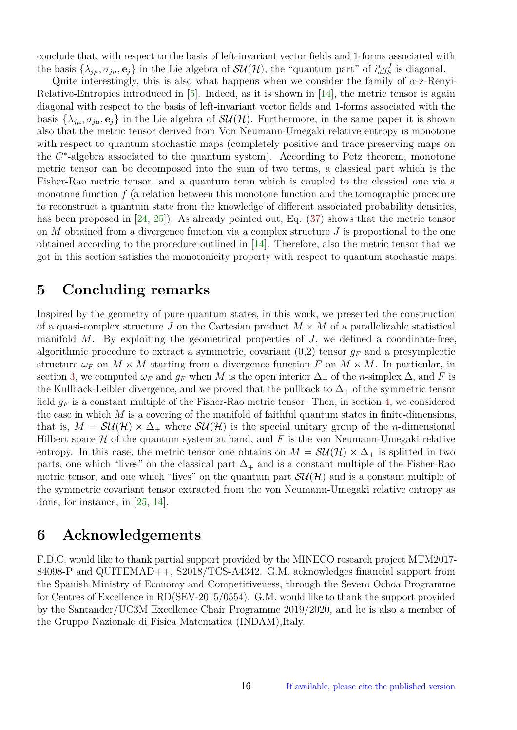<span id="page-15-2"></span>conclude that, with respect to the basis of left-invariant vector fields and 1-forms associated with the basis  $\{\lambda_{j\mu}, \sigma_{j\mu}, \mathbf{e}_j\}$  in the Lie algebra of  $SU(\mathcal{H})$ , the "quantum part" of  $i_d^* g_S^J$  is diagonal.

Quite interestingly, this is also what happens when we consider the family of *α*-z-Renyi-Relative-Entropies introduced in [\[5\]](#page-16-15). Indeed, as it is shown in [\[14\]](#page-16-7), the metric tensor is again diagonal with respect to the basis of left-invariant vector fields and 1-forms associated with the basis  $\{\lambda_{j\mu}, \sigma_{j\mu}, \mathbf{e}_j\}$  in the Lie algebra of  $SU(\mathcal{H})$ . Furthermore, in the same paper it is shown also that the metric tensor derived from Von Neumann-Umegaki relative entropy is monotone with respect to quantum stochastic maps (completely positive and trace preserving maps on the *C*<sup>∗</sup>-algebra associated to the quantum system). According to Petz theorem, monotone metric tensor can be decomposed into the sum of two terms, a classical part which is the Fisher-Rao metric tensor, and a quantum term which is coupled to the classical one via a monotone function *f* (a relation between this monotone function and the tomographic procedure to reconstruct a quantum state from the knowledge of different associated probability densities, has been proposed in [\[24,](#page-17-16) [25\]](#page-17-11)). As already pointed out, Eq. [\(37\)](#page-9-0) shows that the metric tensor on *M* obtained from a divergence function via a complex structure *J* is proportional to the one obtained according to the procedure outlined in [\[14\]](#page-16-7). Therefore, also the metric tensor that we got in this section satisfies the monotonicity property with respect to quantum stochastic maps.

## <span id="page-15-0"></span>**5 Concluding remarks**

Inspired by the geometry of pure quantum states, in this work, we presented the construction of a quasi-complex structure *J* on the Cartesian product  $M \times M$  of a parallelizable statistical manifold *M*. By exploiting the geometrical properties of *J*, we defined a coordinate-free, algorithmic procedure to extract a symmetric, covariant  $(0,2)$  tensor  $g_F$  and a presymplectic structure  $\omega_F$  on  $M \times M$  starting from a divergence function F on  $M \times M$ . In particular, in section [3,](#page-5-0) we computed  $\omega_F$  and  $g_F$  when M is the open interior  $\Delta_+$  of the *n*-simplex  $\Delta$ , and F is the Kullback-Leibler divergence, and we proved that the pullback to  $\Delta_+$  of the symmetric tensor field  $g_F$  is a constant multiple of the Fisher-Rao metric tensor. Then, in section [4,](#page-10-0) we considered the case in which  $M$  is a covering of the manifold of faithful quantum states in finite-dimensions, that is,  $M = SU(H) \times \Delta_+$  where  $SU(H)$  is the special unitary group of the *n*-dimensional Hilbert space  $H$  of the quantum system at hand, and  $F$  is the von Neumann-Umegaki relative entropy. In this case, the metric tensor one obtains on  $M = \mathcal{SU}(\mathcal{H}) \times \Delta_+$  is splitted in two parts, one which "lives" on the classical part  $\Delta_+$  and is a constant multiple of the Fisher-Rao metric tensor, and one which "lives" on the quantum part  $SU(H)$  and is a constant multiple of the symmetric covariant tensor extracted from the von Neumann-Umegaki relative entropy as done, for instance, in [\[25,](#page-17-11) [14\]](#page-16-7).

#### <span id="page-15-1"></span>**6 Acknowledgements**

F.D.C. would like to thank partial support provided by the MINECO research project MTM2017- 84098-P and QUITEMAD++, S2018/TCS-A4342. G.M. acknowledges financial support from the Spanish Ministry of Economy and Competitiveness, through the Severo Ochoa Programme for Centres of Excellence in RD(SEV-2015/0554). G.M. would like to thank the support provided by the Santander/UC3M Excellence Chair Programme 2019/2020, and he is also a member of the Gruppo Nazionale di Fisica Matematica (INDAM),Italy.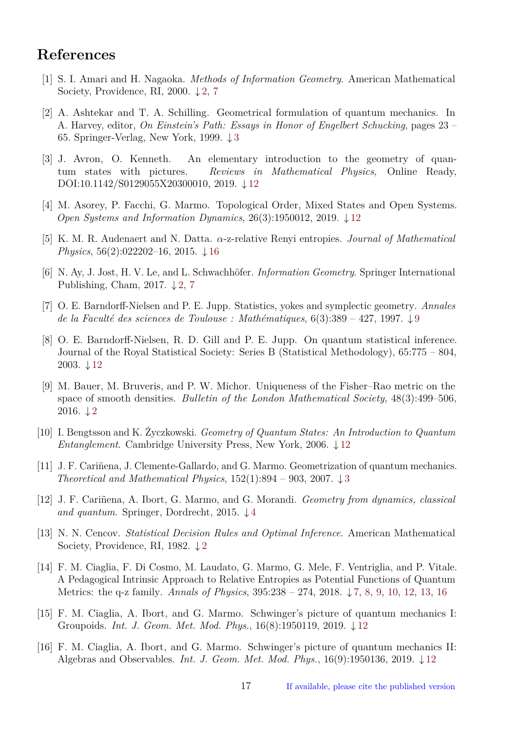# **References**

- <span id="page-16-1"></span>[1] S. I. Amari and H. Nagaoka. *Methods of Information Geometry*. American Mathematical Society, Providence, RI, 2000.  $\downarrow$  [2,](#page-1-2) [7](#page-6-0)
- <span id="page-16-4"></span>[2] A. Ashtekar and T. A. Schilling. Geometrical formulation of quantum mechanics. In A. Harvey, editor, *On Einstein's Path: Essays in Honor of Engelbert Schucking*, pages 23 – 65. Springer-Verlag, New York, 1999. ↓ [3](#page-2-2)
- <span id="page-16-12"></span>[3] J. Avron, O. Kenneth. An elementary introduction to the geometry of quantum states with pictures. *Reviews in Mathematical Physics*, Online Ready, DOI:10.1142/S0129055X20300010, 2019. ↓ [12](#page-11-1)
- <span id="page-16-11"></span>[4] M. Asorey, P. Facchi, G. Marmo. Topological Order, Mixed States and Open Systems. *Open Systems and Information Dynamics*, 26(3):1950012, 2019. ↓ [12](#page-11-1)
- <span id="page-16-15"></span>[5] K. M. R. Audenaert and N. Datta. *α*-z-relative Renyi entropies. *Journal of Mathematical Physics*, 56(2):022202–16, 2015. ↓ [16](#page-15-2)
- <span id="page-16-2"></span>[6] N. Ay, J. Jost, H. V. Le, and L. Schwachhöfer. *Information Geometry*. Springer International Publishing, Cham, 201[7](#page-6-0).  $\downarrow$  [2,](#page-1-2) 7
- <span id="page-16-8"></span>[7] O. E. Barndorff-Nielsen and P. E. Jupp. Statistics, yokes and symplectic geometry. *Annales de la Faculté des sciences de Toulouse : Mathématiques*, 6(3):389 – 427, 1997. ↓ [9](#page-8-1)
- <span id="page-16-13"></span>[8] O. E. Barndorff-Nielsen, R. D. Gill and P. E. Jupp. On quantum statistical inference. Journal of the Royal Statistical Society: Series B (Statistical Methodology), 65:775 – 804, 2003.  $\downarrow$  [12](#page-11-1)
- <span id="page-16-3"></span>[9] M. Bauer, M. Bruveris, and P. W. Michor. Uniqueness of the Fisher–Rao metric on the space of smooth densities. *Bulletin of the London Mathematical Society*, 48(3):499–506,  $2016. \downarrow 2$  $2016. \downarrow 2$
- <span id="page-16-14"></span>[10] I. Bengtsson and K. Życzkowski. *Geometry of Quantum States: An Introduction to Quantum Entanglement*. Cambridge University Press, New York, 2006. ↓ [12](#page-11-1)
- <span id="page-16-5"></span>[11] J. F. Cariñena, J. Clemente-Gallardo, and G. Marmo. Geometrization of quantum mechanics. *Theoretical and Mathematical Physics*, 152(1):894 – 903, 2007. ↓ [3](#page-2-2)
- <span id="page-16-6"></span>[12] J. F. Cariñena, A. Ibort, G. Marmo, and G. Morandi. *Geometry from dynamics, classical and quantum*. Springer, Dordrecht, 2015. ↓ [4](#page-3-0)
- <span id="page-16-0"></span>[13] N. N. Cencov. *Statistical Decision Rules and Optimal Inference*. American Mathematical Society, Providence, RI, 198[2](#page-1-2).  $\downarrow$  2
- <span id="page-16-7"></span>[14] F. M. Ciaglia, F. Di Cosmo, M. Laudato, G. Marmo, G. Mele, F. Ventriglia, and P. Vitale. A Pedagogical Intrinsic Approach to Relative Entropies as Potential Functions of Quantum Metrics: the q-z family. *Annals of Physics*, 395:238 – 274, 2018. ↓ [7,](#page-6-0) [8,](#page-7-2) [9,](#page-8-1) [10,](#page-9-1) [12,](#page-11-1) [13,](#page-12-1) [16](#page-15-2)
- <span id="page-16-9"></span>[15] F. M. Ciaglia, A. Ibort, and G. Marmo. Schwinger's picture of quantum mechanics I: Groupoids. *Int. J. Geom. Met. Mod. Phys.*, 16(8):1950119, 2019. ↓ [12](#page-11-1)
- <span id="page-16-10"></span>[16] F. M. Ciaglia, A. Ibort, and G. Marmo. Schwinger's picture of quantum mechanics II: Algebras and Observables. *Int. J. Geom. Met. Mod. Phys.*, 16(9):1950136, 2019. ↓ [12](#page-11-1)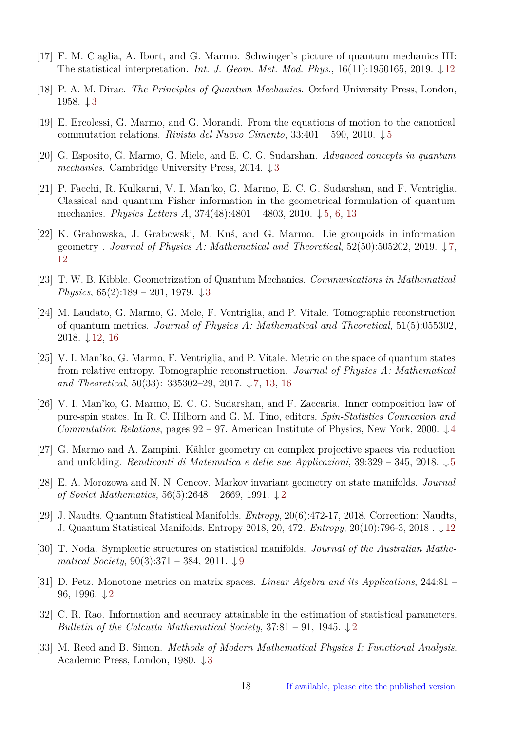- <span id="page-17-14"></span>[17] F. M. Ciaglia, A. Ibort, and G. Marmo. Schwinger's picture of quantum mechanics III: The statistical interpretation. *Int. J. Geom. Met. Mod. Phys.*, 16(11):1950165, 2019. ↓ [12](#page-11-1)
- <span id="page-17-4"></span>[18] P. A. M. Dirac. *The Principles of Quantum Mechanics*. Oxford University Press, London, 1958. ↓ [3](#page-2-2)
- <span id="page-17-9"></span>[19] E. Ercolessi, G. Marmo, and G. Morandi. From the equations of motion to the canonical commutation relations. *Rivista del Nuovo Cimento*, 33:401 – 590, 2010. ↓ [5](#page-4-3)
- <span id="page-17-5"></span>[20] G. Esposito, G. Marmo, G. Miele, and E. C. G. Sudarshan. *Advanced concepts in quantum mechanics*. Cambridge University Press, 2014. ↓ [3](#page-2-2)
- <span id="page-17-10"></span>[21] P. Facchi, R. Kulkarni, V. I. Man'ko, G. Marmo, E. C. G. Sudarshan, and F. Ventriglia. Classical and quantum Fisher information in the geometrical formulation of quantum mechanics. *Physics Letters A*, 374(48):4801 – 4803, 2010. ↓ [5,](#page-4-3) [6,](#page-5-3) [13](#page-12-1)
- <span id="page-17-12"></span>[22] K. Grabowska, J. Grabowski, M. Kuś, and G. Marmo. Lie groupoids in information geometry . *Journal of Physics A: Mathematical and Theoretical*, 52(50):505202, 2019. ↓ [7,](#page-6-0) [12](#page-11-1)
- <span id="page-17-3"></span>[23] T. W. B. Kibble. Geometrization of Quantum Mechanics. *Communications in Mathematical Physics*, 65(2):189 – 201, 1979. ↓ [3](#page-2-2)
- <span id="page-17-16"></span>[24] M. Laudato, G. Marmo, G. Mele, F. Ventriglia, and P. Vitale. Tomographic reconstruction of quantum metrics. *Journal of Physics A: Mathematical and Theoretical*, 51(5):055302, 2018. ↓ [12,](#page-11-1) [16](#page-15-2)
- <span id="page-17-11"></span>[25] V. I. Man'ko, G. Marmo, F. Ventriglia, and P. Vitale. Metric on the space of quantum states from relative entropy. Tomographic reconstruction. *Journal of Physics A: Mathematical and Theoretical*, 50(33): 335302–29, 2017. ↓ [7,](#page-6-0) [13,](#page-12-1) [16](#page-15-2)
- <span id="page-17-7"></span>[26] V. I. Man'ko, G. Marmo, E. C. G. Sudarshan, and F. Zaccaria. Inner composition law of pure-spin states. In R. C. Hilborn and G. M. Tino, editors, *Spin-Statistics Connection and Commutation Relations*, pages  $92 - 97$ . American Institute of Physics, New York, 2000.  $\downarrow$  [4](#page-3-0)
- <span id="page-17-8"></span>[27] G. Marmo and A. Zampini. Kähler geometry on complex projective spaces via reduction and unfolding. *Rendiconti di Matematica e delle sue Applicazioni*, 39:329 – 345, 2018. ↓ [5](#page-4-3)
- <span id="page-17-1"></span>[28] E. A. Morozowa and N. N. Cencov. Markov invariant geometry on state manifolds. *Journal of Soviet Mathematics*, 56(5):2648 – 2669, 1991. ↓ [2](#page-1-2)
- <span id="page-17-15"></span>[29] J. Naudts. Quantum Statistical Manifolds. *Entropy*, 20(6):472-17, 2018. Correction: Naudts, J. Quantum Statistical Manifolds. Entropy 2018, 20, 472. *Entropy*, 20(10):796-3, 2018 . ↓ [12](#page-11-1)
- <span id="page-17-13"></span>[30] T. Noda. Symplectic structures on statistical manifolds. *Journal of the Australian Mathematical Society*, 90(3):371 – 384, 2011. ↓ [9](#page-8-1)
- <span id="page-17-2"></span>[31] D. Petz. Monotone metrics on matrix spaces. *Linear Algebra and its Applications*, 244:81 – 96, 1996.  $\downarrow$  [2](#page-1-2)
- <span id="page-17-0"></span>[32] C. R. Rao. Information and accuracy attainable in the estimation of statistical parameters. *Bulletin of the Calcutta Mathematical Society*,  $37:81 - 91$ ,  $1945. \downarrow 2$  $1945. \downarrow 2$
- <span id="page-17-6"></span>[33] M. Reed and B. Simon. *Methods of Modern Mathematical Physics I: Functional Analysis*. Academic Press, London, 1980. ↓ [3](#page-2-2)